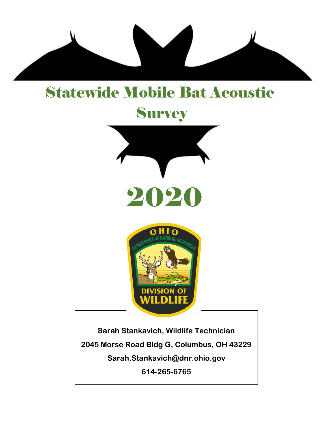

## Statewide Mobile Bat Acoustic

# **Survey**





**Sarah Stankavich, Wildlife Technician 2045 Morse Road Bldg G, Columbus, OH 43229 Sarah.Stankavich@dnr.ohio.gov 614-265-6765**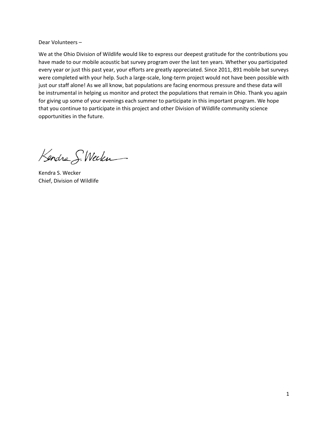#### Dear Volunteers –

We at the Ohio Division of Wildlife would like to express our deepest gratitude for the contributions you have made to our mobile acoustic bat survey program over the last ten years. Whether you participated every year or just this past year, your efforts are greatly appreciated. Since 2011, 891 mobile bat surveys were completed with your help. Such a large-scale, long-term project would not have been possible with just our staff alone! As we all know, bat populations are facing enormous pressure and these data will be instrumental in helping us monitor and protect the populations that remain in Ohio. Thank you again for giving up some of your evenings each summer to participate in this important program. We hope that you continue to participate in this project and other Division of Wildlife community science opportunities in the future.

Kendra S. Wecken

Kendra S. Wecker Chief, Division of Wildlife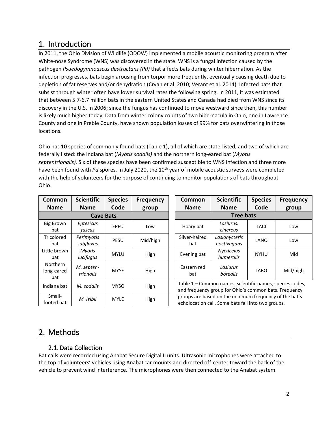## 1. Introduction

In 2011, the Ohio Division of Wildlife (ODOW) implemented a mobile acoustic monitoring program after White-nose Syndrome (WNS) was discovered in the state. WNS is a fungal infection caused by the pathogen *Psuedogymnoascus destructans (Pd)* that affects bats during winter hibernation. As the infection progresses, bats begin arousing from torpor more frequently, eventually causing death due to depletion of fat reserves and/or dehydration (Cryan et al. 2010; Verant et al. 2014). Infected bats that subsist through winter often have lower survival rates the following spring. In 2011, it was estimated that between 5.7-6.7 million bats in the eastern United States and Canada had died from WNS since its discovery in the U.S. in 2006; since the fungus has continued to move westward since then, this number is likely much higher today. Data from winter colony counts of two hibernacula in Ohio, one in Lawrence County and one in Preble County, have shown population losses of 99% for bats overwintering in those locations.

Ohio has 10 species of commonly found bats (Table 1), all of which are state-listed, and two of which are federally listed: the Indiana bat (*Myotis sodalis)* and the northern long-eared bat (*Myotis septentrionalis).* Six of these species have been confirmed susceptible to WNS infection and three more have been found with *Pd* spores. In July 2020, the 10<sup>th</sup> year of mobile acoustic surveys were completed with the help of volunteers for the purpose of continuing to monitor populations of bats throughout Ohio.

| Common<br><b>Name</b>                | <b>Scientific</b><br><b>Name</b> | <b>Species</b><br>Code | <b>Frequency</b><br>group | Common<br><b>Name</b>                                        | <b>Scientific</b><br><b>Name</b> |
|--------------------------------------|----------------------------------|------------------------|---------------------------|--------------------------------------------------------------|----------------------------------|
|                                      | <b>Cave Bats</b>                 | <b>Tree</b>            |                           |                                                              |                                  |
| <b>Big Brown</b><br>bat              | <b>Eptesicus</b><br>fuscus       | EPFU                   | Low                       | Hoary bat                                                    | Lasiurus.<br>cinereus            |
| Tricolored<br>bat                    | Perimyotis<br>subflavus          | <b>PESU</b>            | Mid/high                  | Silver-haired<br>bat                                         | Lasionycteri<br>noctivagans      |
| Little brown<br>bat                  | Myotis<br>lucifugus              | <b>MYLU</b>            | High                      | Evening bat                                                  | <b>Nycticeius</b><br>humeralis   |
| <b>Northern</b><br>long-eared<br>bat | M. septen-<br>trionalis          | <b>MYSE</b>            | High                      | Eastern red<br>bat                                           | Lasiurus<br>borealis             |
| Indiana bat                          | M. sodalis                       | <b>MYSO</b>            | High                      | Table 1 - Common names, so<br>and frequency group for Ohio   |                                  |
| Small-<br>M. leibii<br>footed bat    |                                  | <b>MYLE</b>            | High                      | groups are based on the mini<br>echolocation call. Some bats |                                  |

| tific        | <b>Species</b>                    | <b>Frequency</b> | Common               | <b>Scientific</b>                                      | <b>Species</b> | <b>Frequency</b><br>group |  |  |
|--------------|-----------------------------------|------------------|----------------------|--------------------------------------------------------|----------------|---------------------------|--|--|
| ۱e           | Code<br>group<br><b>Cave Bats</b> |                  |                      | Code<br><b>Name</b><br><b>Name</b><br><b>Tree bats</b> |                |                           |  |  |
| cus<br>JS    | <b>EPFU</b>                       | Low              | Hoary bat            | Lasiurus.<br>cinereus                                  | LACI           | Low                       |  |  |
| 'otis<br>vus | PESU                              | Mid/high         | Silver-haired<br>bat | Lasionycteris<br>noctivagans                           | LANO           | Low                       |  |  |
| tis<br>qus   | <b>MYLU</b>                       | High             | Evening bat          | <b>Nycticeius</b><br>humeralis                         | <b>NYHU</b>    | Mid                       |  |  |
| ten-<br>ılis | <b>MYSE</b>                       | High             | Eastern red<br>bat   | Lasiurus<br>borealis                                   | <b>LABO</b>    | Mid/high                  |  |  |

Table 1 – Common names, scientific names, species codes, and frequency group for Ohio's common bats. Frequency groups are based on the minimum frequency of the bat's echolocation call. Some bats fall into two groups.

## 2. Methods

### 2.1. Data Collection

Bat calls were recorded using Anabat Secure Digital II units. Ultrasonic microphones were attached to the top of volunteers' vehicles using Anabat car mounts and directed off-center toward the back of the vehicle to prevent wind interference. The microphones were then connected to the Anabat system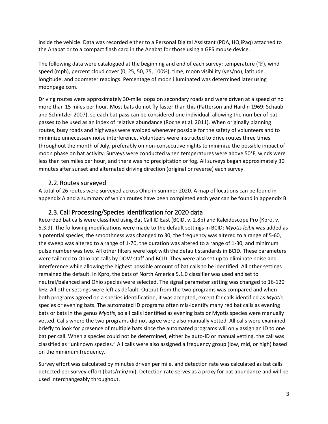inside the vehicle. Data was recorded either to a Personal Digital Assistant (PDA, HQ iPaq) attached to the Anabat or to a compact flash card in the Anabat for those using a GPS mouse device.

The following data were catalogued at the beginning and end of each survey: temperature (℉), wind speed (mph), percent cloud cover (0, 25, 50, 75, 100%), time, moon visibility (yes/no), latitude, longitude, and odometer readings. Percentage of moon illuminated was determined later using moonpage.com.

Driving routes were approximately 30-mile loops on secondary roads and were driven at a speed of no more than 15 miles per hour. Most bats do not fly faster than this (Patterson and Hardin 1969; Schaub and Schnitzler 2007), so each bat pass can be considered one individual, allowing the number of bat passes to be used as an index of relative abundance (Roche et al. 2011). When originally planning routes, busy roads and highways were avoided whenever possible for the safety of volunteers and to minimize unnecessary noise interference. Volunteers were instructed to drive routes three times throughout the month of July, preferably on non-consecutive nights to minimize the possible impact of moon phase on bat activity. Surveys were conducted when temperatures were above 50°F, winds were less than ten miles per hour, and there was no precipitation or fog. All surveys began approximately 30 minutes after sunset and alternated driving direction (original or reverse) each survey.

#### 2.2. Routes surveyed

A total of 26 routes were surveyed across Ohio in summer 2020. A map of locations can be found in appendix A and a summary of which routes have been completed each year can be found in appendix B.

#### 2.3. Call Processing/Species Identification for 2020 data

Recorded bat calls were classified using Bat Call ID East (BCID, v. 2.8b) and Kaleidoscope Pro (Kpro, v. 5.3.9). The following modifications were made to the default settings in BCID: *Myotis leibii* was added as a potential species, the smoothness was changed to 30, the frequency was altered to a range of 5-60, the sweep was altered to a range of 1-70, the duration was altered to a range of 1-30, and minimum pulse number was two. All other filters were kept with the default standards in BCID. These parameters were tailored to Ohio bat calls by DOW staff and BCID. They were also set up to eliminate noise and interference while allowing the highest possible amount of bat calls to be identified. All other settings remained the default. In Kpro, the bats of North America 5.1.0 classifier was used and set to neutral/balanced and Ohio species were selected. The signal parameter setting was changed to 16-120 kHz. All other settings were left as default. Output from the two programs was compared and when both programs agreed on a species identification, it was accepted, except for calls identified as *Myotis* species or evening bats. The automated ID programs often mis-identify many red bat calls as evening bats or bats in the genus *Myotis*, so all calls identified as evening bats or Myotis species were manually vetted. Calls where the two programs did not agree were also manually vetted. All calls were examined briefly to look for presence of multiple bats since the automated programs will only assign an ID to one bat per call. When a species could not be determined, either by auto-ID or manual vetting, the call was classified as "unknown species." All calls were also assigned a frequency group (low, mid, or high) based on the minimum frequency.

Survey effort was calculated by minutes driven per mile, and detection rate was calculated as bat calls detected per survey effort (bats/min/mi). Detection rate serves as a proxy for bat abundance and will be used interchangeably throughout.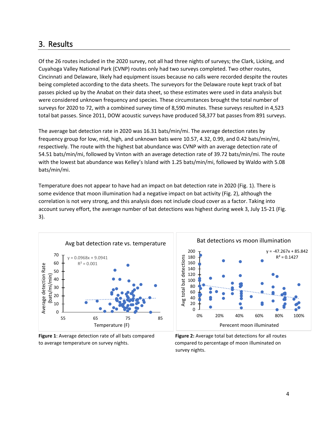## 3. Results

Of the 26 routes included in the 2020 survey, not all had three nights of surveys; the Clark, Licking, and Cuyahoga Valley National Park (CVNP) routes only had two surveys completed. Two other routes, Cincinnati and Delaware, likely had equipment issues because no calls were recorded despite the routes being completed according to the data sheets. The surveyors for the Delaware route kept track of bat passes picked up by the Anabat on their data sheet, so these estimates were used in data analysis but were considered unknown frequency and species. These circumstances brought the total number of surveys for 2020 to 72, with a combined survey time of 8,590 minutes. These surveys resulted in 4,523 total bat passes. Since 2011, DOW acoustic surveys have produced 58,377 bat passes from 891 surveys.

The average bat detection rate in 2020 was 16.31 bats/min/mi. The average detection rates by frequency group for low, mid, high*,* and unknown bats were 10.57, 4.32, 0.99, and 0.42 bats/min/mi, respectively. The route with the highest bat abundance was CVNP with an average detection rate of 54.51 bats/min/mi, followed by Vinton with an average detection rate of 39.72 bats/min/mi. The route with the lowest bat abundance was Kelley's Island with 1.25 bats/min/mi, followed by Waldo with 5.08 bats/min/mi.

Temperature does not appear to have had an impact on bat detection rate in 2020 (Fig. 1). There is some evidence that moon illumination had a negative impact on bat activity (Fig. 2), although the correlation is not very strong, and this analysis does not include cloud cover as a factor. Taking into account survey effort, the average number of bat detections was highest during week 3, July 15-21 (Fig. 3).



**Figure 1**: Average detection rate of all bats compared **Figure 2:** Average total bat detections for all routes to average temperature on survey nights. compared to percentage of moon illuminated on

survey nights.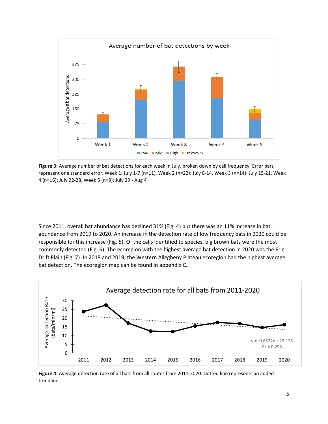

**Figure 3:** Average number of bat detections for each week in July, broken down by call frequency. Error bars represent one standard error. Week 1: July 1-7 (n=11), Week 2 (n=22): July 8-14, Week 3 (n=14): July 15-21, Week 4 (n=16): July 22-28, Week 5 (n=9): July 29 - Aug 4

Since 2011, overall bat abundance has declined 31% (Fig. 4) but there was an 11% increase in bat abundance from 2019 to 2020. An increase in the detection rate of low frequency bats in 2020 could be responsible for this increase (Fig. 5). Of the calls identified to species, big brown bats were the most commonly detected (Fig. 6). The ecoregion with the highest average bat detection in 2020 was the Erie Drift Plain (Fig. 7). In 2018 and 2019, the Western Allegheny Plateau ecoregion had the highest average bat detection. The ecoregion map can be found in appendix C.



**Figure 4:** Average detection rate of all bats from all routes from 2011-2020. Dotted line represents an added trendline.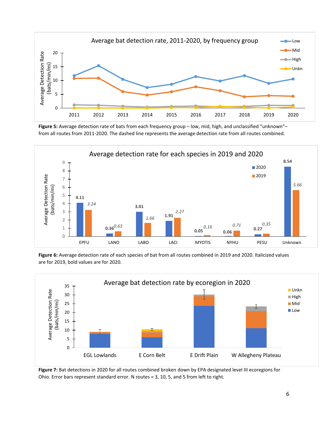

**Figure 5:** Average detection rate of bats from each frequency group – low, mid, high, and unclassified "unknown"– from all routes from 2011-2020. The dashed line represents the average detection rate from all routes combined.



**Figure 6:** Average detection rate of each species of bat from all routes combined in 2019 and 2020. Italicized values are for 2019, bold values are for 2020.



**Figure 7:** Bat detections in 2020 for all routes combined broken down by EPA designated level III ecoregions for Ohio. Error bars represent standard error. N routes = 3, 10, 5, and 5 from left to right.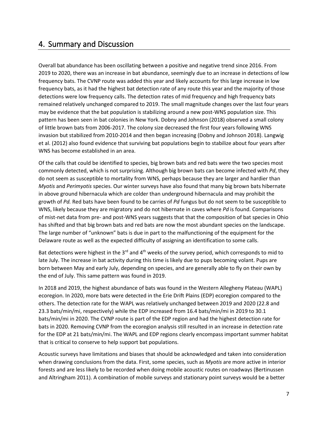## 4. Summary and Discussion

Overall bat abundance has been oscillating between a positive and negative trend since 2016. From 2019 to 2020, there was an increase in bat abundance, seemingly due to an increase in detections of low frequency bats. The CVNP route was added this year and likely accounts for this large increase in low frequency bats, as it had the highest bat detection rate of any route this year and the majority of those detections were low frequency calls. The detection rates of mid frequency and high frequency bats remained relatively unchanged compared to 2019. The small magnitude changes over the last four years may be evidence that the bat population is stabilizing around a new post-WNS population size. This pattern has been seen in bat colonies in New York. Dobny and Johnson (2018) observed a small colony of little brown bats from 2006-2017. The colony size decreased the first four years following WNS invasion but stabilized from 2010-2014 and then began increasing (Dobny and Johnson 2018). Langwig et al. (2012) also found evidence that surviving bat populations begin to stabilize about four years after WNS has become established in an area.

Of the calls that could be identified to species, big brown bats and red bats were the two species most commonly detected, which is not surprising. Although big brown bats can become infected with *Pd*, they do not seem as susceptible to mortality from WNS, perhaps because they are larger and hardier than *Myotis* and *Perimyotis* species. Our winter surveys have also found that many big brown bats hibernate in above ground hibernacula which are colder than underground hibernacula and may prohibit the growth of *Pd.* Red bats have been found to be carries of *Pd* fungus but do not seem to be susceptible to WNS, likely because they are migratory and do not hibernate in caves where *Pd* is found. Comparisons of mist-net data from pre- and post-WNS years suggests that that the composition of bat species in Ohio has shifted and that big brown bats and red bats are now the most abundant species on the landscape. The large number of "unknown" bats is due in part to the malfunctioning of the equipment for the Delaware route as well as the expected difficulty of assigning an identification to some calls.

Bat detections were highest in the 3<sup>rd</sup> and 4<sup>th</sup> weeks of the survey period, which corresponds to mid to late July. The increase in bat activity during this time is likely due to pups becoming volant. Pups are born between May and early July, depending on species, and are generally able to fly on their own by the end of July. This same pattern was found in 2019.

In 2018 and 2019, the highest abundance of bats was found in the Western Allegheny Plateau (WAPL) ecoregion. In 2020, more bats were detected in the Erie Drift Plains (EDP) ecoregion compared to the others. The detection rate for the WAPL was relatively unchanged between 2019 and 2020 (22.8 and 23.3 bats/min/mi, respectively) while the EDP increased from 16.4 bats/min/mi in 2019 to 30.1 bats/min/mi in 2020. The CVNP route is part of the EDP region and had the highest detection rate for bats in 2020. Removing CVNP from the ecoregion analysis still resulted in an increase in detection rate for the EDP at 21 bats/min/mi. The WAPL and EDP regions clearly encompass important summer habitat that is critical to conserve to help support bat populations.

Acoustic surveys have limitations and biases that should be acknowledged and taken into consideration when drawing conclusions from the data. First, some species, such as *Myotis* are more active in interior forests and are less likely to be recorded when doing mobile acoustic routes on roadways (Bertinussen and Altringham 2011). A combination of mobile surveys and stationary point surveys would be a better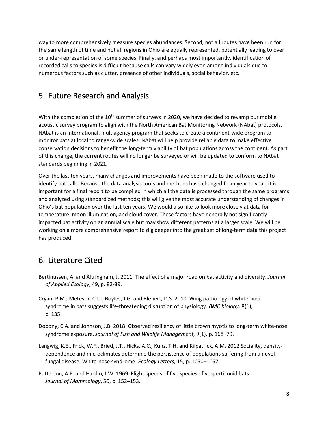way to more comprehensively measure species abundances. Second, not all routes have been run for the same length of time and not all regions in Ohio are equally represented, potentially leading to over or under-representation of some species. Finally, and perhaps most importantly, identification of recorded calls to species is difficult because calls can vary widely even among individuals due to numerous factors such as clutter, presence of other individuals, social behavior, etc.

## 5. Future Research and Analysis

With the completion of the  $10<sup>th</sup>$  summer of surveys in 2020, we have decided to revamp our mobile acoustic survey program to align with the North American Bat Monitoring Network (NAbat) protocols. NAbat is an international, multiagency program that seeks to create a continent-wide program to monitor bats at local to range-wide scales. NAbat will help provide reliable data to make effective conservation decisions to benefit the long-term viability of bat populations across the continent. As part of this change, the current routes will no longer be surveyed or will be updated to conform to NAbat standards beginning in 2021.

Over the last ten years, many changes and improvements have been made to the software used to identify bat calls. Because the data analysis tools and methods have changed from year to year, it is important for a final report to be compiled in which all the data is processed through the same programs and analyzed using standardized methods; this will give the most accurate understanding of changes in Ohio's bat population over the last ten years. We would also like to look more closely at data for temperature, moon illumination, and cloud cover. These factors have generally not significantly impacted bat activity on an annual scale but may show different patterns at a larger scale. We will be working on a more comprehensive report to dig deeper into the great set of long-term data this project has produced.

## 6. Literature Cited

- Bertinussen, A. and Altringham, J. 2011. The effect of a major road on bat activity and diversity. *Journal of Applied Ecology*, 49, p. 82-89.
- Cryan, P.M., Meteyer, C.U., Boyles, J.G. and Blehert, D.S. 2010. Wing pathology of white-nose syndrome in bats suggests life-threatening disruption of physiology. *BMC biology*, 8(1), p. 135.
- Dobony, C.A. and Johnson, J.B. 2018. Observed resiliency of little brown myotis to long-term white-nose syndrome exposure. *Journal of Fish and Wildlife Management,* 9(1), p. 168–79.
- Langwig, K.E., Frick, W.F., Bried, J.T., Hicks, A.C., Kunz, T.H. and Kilpatrick, A.M. 2012 Sociality, density‐ dependence and microclimates determine the persistence of populations suffering from a novel fungal disease, White‐nose syndrome. *Ecology Letters,* 15, p. 1050–1057.
- Patterson, A.P. and Hardin, J.W. 1969. Flight speeds of five species of vespertilionid bats. *Journal of Mammalogy*, 50, p. 152–153.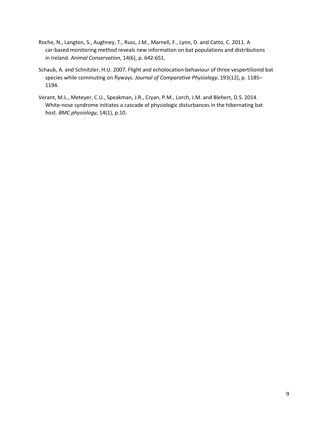- Roche, N., Langton, S., Aughney, T., Russ, J.M., Marnell, F., Lynn, D. and Catto, C. 2011. A car‐based monitoring method reveals new information on bat populations and distributions in Ireland. *Animal Conservation*, 14(6), p. 642-651.
- Schaub, A. and Schnitzler, H.U. 2007. Flight and echolocation behaviour of three vespertilionid bat species while commuting on flyways. *Journal of Comparative Physiology*, 193(12), p. 1185– 1194.
- Verant, M.L., Meteyer, C.U., Speakman, J.R., Cryan, P.M., Lorch, J.M. and Blehert, D.S. 2014. White-nose syndrome initiates a cascade of physiologic disturbances in the hibernating bat host. *BMC physiology*, 14(1), p.10.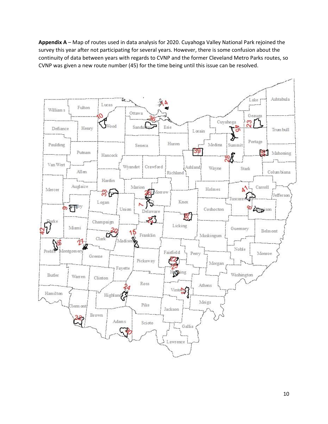**Appendix A** – Map of routes used in data analysis for 2020. Cuyahoga Valley National Park rejoined the survey this year after not participating for several years. However, there is some confusion about the continuity of data between years with regards to CVNP and the former Cleveland Metro Parks routes, so CVNP was given a new route number (45) for the time being until this issue can be resolved.

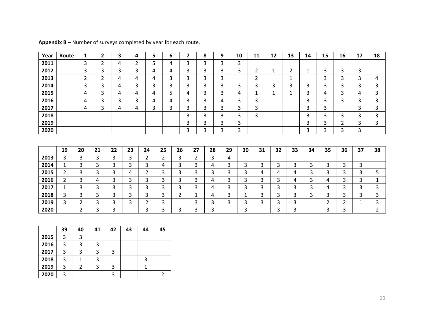| Year | Route          | 1              | 2              | 3  | 4  | 5              |                | 6              | 7              | 8  | 9  | 10 | 11             | 12           | 13             | 14           | 15 | 16             | 17           | 18             |
|------|----------------|----------------|----------------|----|----|----------------|----------------|----------------|----------------|----|----|----|----------------|--------------|----------------|--------------|----|----------------|--------------|----------------|
| 2011 |                | 3              | 2              | 4  | 2  | 5              |                | 4              | 3              | 3  | 3  | 3  |                |              |                |              |    |                |              |                |
| 2012 |                | 3              | 3              | 3  | 3  | 4              |                | 4              | 3              | 3  | 3  | 3  | $\overline{2}$ | $\mathbf{1}$ | $\overline{2}$ | $\mathbf{1}$ | 3  | 3              | 3            |                |
| 2013 |                | $\overline{2}$ | $\overline{2}$ | 4  | 4  | 4              |                | 3              | 3              | 3  | 3  |    | $\overline{2}$ |              | $\mathbf{1}$   |              | 3  | 3              | 3            | 4              |
| 2014 |                | 3              | 3              | 4  | 3  | 3              |                | 3              | 3              | 3  | 3  | 3  | 3              | 3            | 3              | 3            | 3  | 3              | 3            | 3              |
| 2015 |                | 4              | 3              | 4  | 4  | 4              |                | 5              | 4              | 3  | 3  | 4  | 1              | 1            | 1              | 3            | 4  | 3              | 4            | 3              |
| 2016 |                | 4              | 3              | 3  | 3  | 4              |                | 4              | 3              | 3  | 4  | 3  | 3              |              |                | 3            | 3  | 3              | 3            | 3              |
| 2017 |                | 4              | 3              | 4  | 4  | 3              | 3              |                | 3              | 3  | 3  | 3  | 3              |              |                | 3            | 3  |                | 3            | 3              |
| 2018 |                |                |                |    |    |                |                |                | 3              | 3  | 3  | 3  | 3              |              |                | 3            | 3  | 3              | 3            | 3              |
| 2019 |                |                |                |    |    |                |                |                | 3              | 3  | 3  | 3  |                |              |                | 3            | 3  | $\overline{2}$ | 3            | 3              |
| 2020 |                |                |                |    |    |                |                |                | 3              | 3  | 3  | 3  |                |              |                | 3            | 3  | 3              | 3            |                |
|      |                |                |                |    |    |                |                |                |                |    |    |    |                |              |                |              |    |                |              |                |
|      |                |                |                |    |    |                |                |                |                |    |    |    |                |              |                |              |    |                |              |                |
|      | 19             | 20             | 21             | 22 | 23 | 24             | 25             | 26             | 27             | 28 | 29 | 30 | 31             | 32           | 33             | 34           | 35 | 36             | 37           | 38             |
| 2013 | 3              | 3              | 3              | 3  | 3  | $\overline{2}$ | $\overline{2}$ | 3              | $\overline{2}$ | 3  | 4  |    |                |              |                |              |    |                |              |                |
| 2014 | 1              | 3              | 3              | 3  | 3  | 3              | 4              | 3              | 3              | 4  | 3  | 3  | 3              | 3            | 3              | 3            | 3  | 3              | 3            |                |
| 2015 | $\overline{2}$ | 3              | 3              | 3  | 4  | $\overline{2}$ | 3              | 3              | 3              | 3  | 3  | 3  | 4              | 4            | 4              | 3            | 3  | 3              | 3            | 5              |
| 2016 | $\overline{2}$ | 3              | 4              | 3  | 3  | 3              | 3              | 3              | 3              | 4  | 3  | 3  | $\mathsf{3}$   | 3            | 4              | 3            | 4  | 3              | 3            | 1              |
| 2017 | $\mathbf{1}$   | 3              | 3              | 3  | 3  | 3              | 3              | 3              | 3              | 4  | 3  | 3  | 3              | 3            | 3              | 3            | 4  | 3              | 3            | 3              |
| 2018 | 3              | 3              | 3              | 3  | 3  | 3              | 3              | $\overline{2}$ | 1              | 4  | 3  | 1  | 3              | 3            | 3              | 3            | 3  | 3              | 3            | 3              |
| 2019 | 3              | 2              | 3              | 3  | 3  | $\overline{2}$ | 3              |                | 3              | 3  | 3  | 3  | 3              | 3            | 3              |              | 2  | $\overline{2}$ | $\mathbf{1}$ | $\mathbf{3}$   |
| 2020 |                | $\overline{2}$ | 3              | 3  |    | 3              | 3              | 3              | 3              | 3  |    | 3  |                | 3            | 3              |              | 3  | 3              |              | $\overline{2}$ |
|      |                |                |                |    |    |                |                |                |                |    |    |    |                |              |                |              |    |                |              |                |

**Appendix B** – Number of surveys completed by year for each route.

|      | 39 | 40 | 41 | 42 | 43 | 44 | 45 |
|------|----|----|----|----|----|----|----|
| 2015 | 3  | 3  |    |    |    |    |    |
| 2016 | 3  | 3  | э  |    |    |    |    |
| 2017 | 3  | 3  |    | 3  |    |    |    |
| 2018 | 3  |    | 2  |    |    | 3  |    |
| 2019 | 3  | 2  |    | 3  |    |    |    |
| 2020 | 3  |    |    | 3  |    |    |    |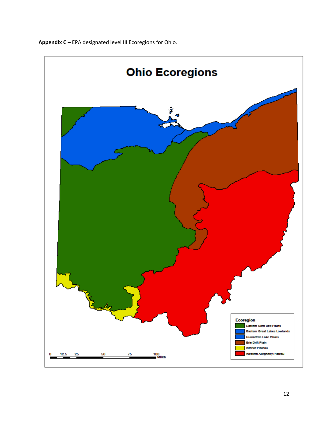

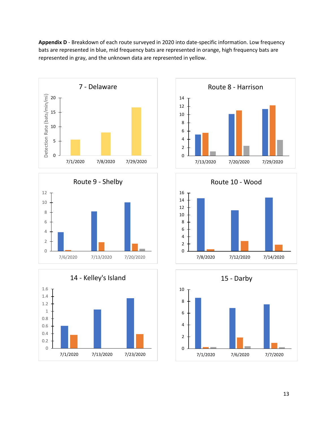**Appendix D** - Breakdown of each route surveyed in 2020 into date-specific information. Low frequency bats are represented in blue, mid frequency bats are represented in orange, high frequency bats are represented in gray, and the unknown data are represented in yellow.











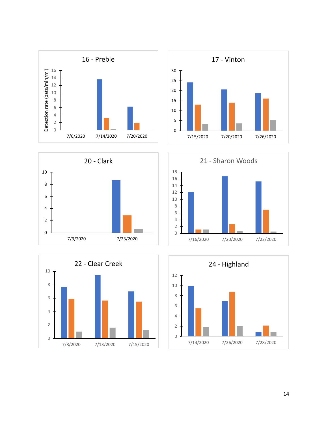









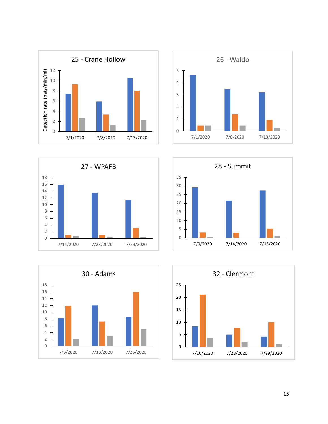









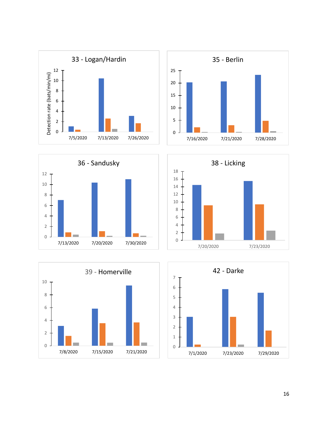









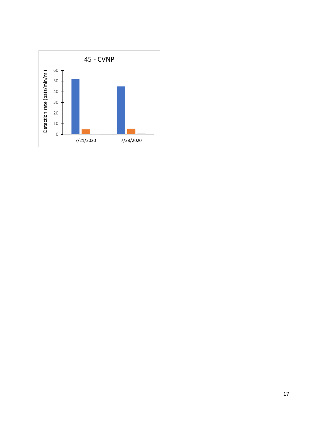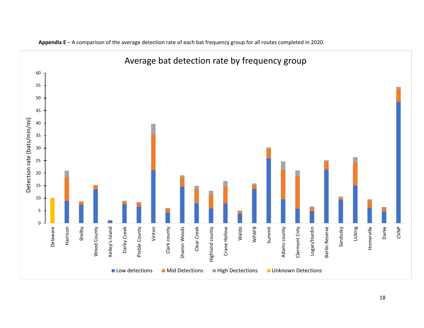

**Appendix E** – A comparison of the average detection rate of each bat frequency group for all routes completed in 2020.